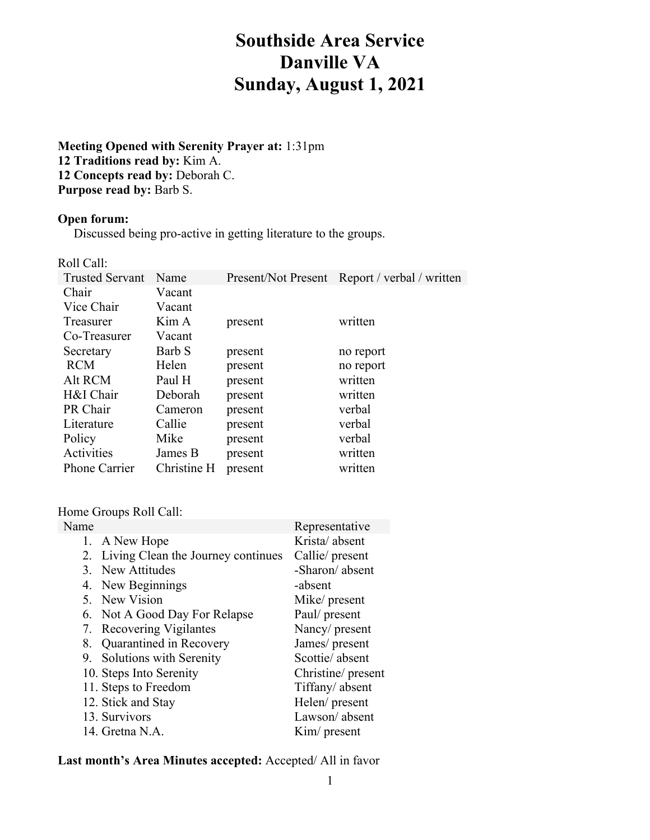# **Southside Area Service Danville VA Sunday, August 1, 2021**

**Meeting Opened with Serenity Prayer at:** 1:31pm **12 Traditions read by:** Kim A. **12 Concepts read by:** Deborah C. **Purpose read by:** Barb S.

#### **Open forum:**

Discussed being pro-active in getting literature to the groups.

Roll Call:

| <b>Trusted Servant</b> | Name        |         | Present/Not Present Report / verbal / written |
|------------------------|-------------|---------|-----------------------------------------------|
| Chair                  | Vacant      |         |                                               |
| Vice Chair             | Vacant      |         |                                               |
| Treasurer              | Kim A       | present | written                                       |
| Co-Treasurer           | Vacant      |         |                                               |
| Secretary              | Barb S      | present | no report                                     |
| <b>RCM</b>             | Helen       | present | no report                                     |
| Alt RCM                | Paul H      | present | written                                       |
| H&I Chair              | Deborah     | present | written                                       |
| PR Chair               | Cameron     | present | verbal                                        |
| Literature             | Callie      | present | verbal                                        |
| Policy                 | Mike        | present | verbal                                        |
| Activities             | James B     | present | written                                       |
| <b>Phone Carrier</b>   | Christine H | present | written                                       |

## Home Groups Roll Call:

| Name |                                       | Representative     |
|------|---------------------------------------|--------------------|
|      | 1. A New Hope                         | Krista/absent      |
|      | 2. Living Clean the Journey continues | Callie/ present    |
| 3.   | New Attitudes                         | -Sharon/absent     |
|      | 4. New Beginnings                     | -absent            |
|      | 5. New Vision                         | Mike/ present      |
|      | 6. Not A Good Day For Relapse         | Paul/ present      |
|      | 7. Recovering Vigilantes              | Nancy/ present     |
| 8.   | Quarantined in Recovery               | James/ present     |
|      | 9. Solutions with Serenity            | Scottie/absent     |
|      | 10. Steps Into Serenity               | Christine/ present |
|      | 11. Steps to Freedom                  | Tiffany/absent     |
|      | 12. Stick and Stay                    | Helen/ present     |
|      | 13. Survivors                         | Lawson/absent      |
|      | 14. Gretna N.A.                       | Kim/ present       |
|      |                                       |                    |

# **Last month's Area Minutes accepted:** Accepted/ All in favor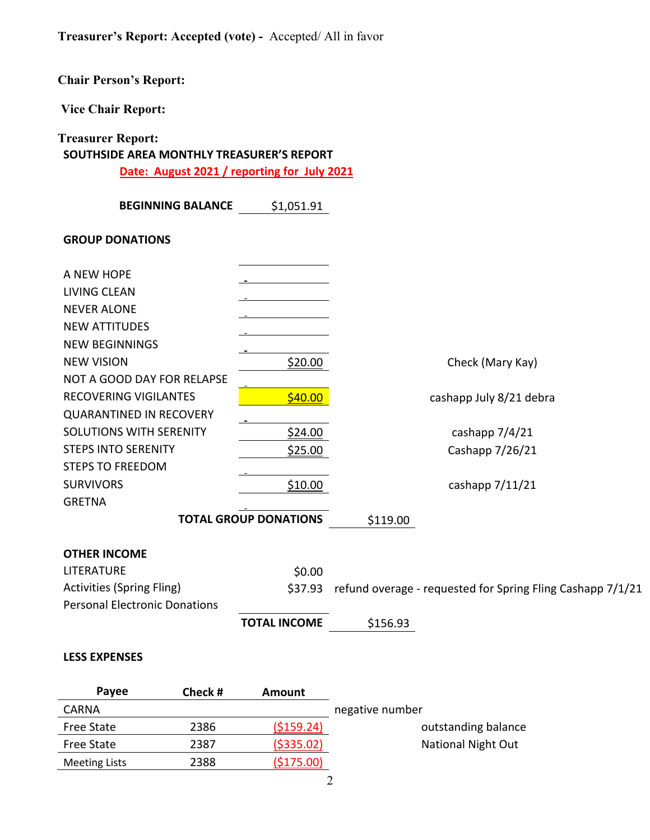# **Chair Person's Report:**

**Vice Chair Report:** 

# **Treasurer Report:**

# **SOUTHSIDE AREA MONTHLY TREASURER'S REPORT**

**Date: August 2021 / reporting for July 2021**

| <b>BEGINNING BALANCE</b>             | \$1,051.91                   |                                                            |
|--------------------------------------|------------------------------|------------------------------------------------------------|
| <b>GROUP DONATIONS</b>               |                              |                                                            |
| A NEW HOPE                           |                              |                                                            |
| <b>LIVING CLEAN</b>                  |                              |                                                            |
| <b>NEVER ALONE</b>                   |                              |                                                            |
| <b>NEW ATTITUDES</b>                 |                              |                                                            |
| <b>NEW BEGINNINGS</b>                |                              |                                                            |
| <b>NEW VISION</b>                    | \$20.00                      | Check (Mary Kay)                                           |
| NOT A GOOD DAY FOR RELAPSE           |                              |                                                            |
| RECOVERING VIGILANTES                | \$40.00                      | cashapp July 8/21 debra                                    |
| <b>QUARANTINED IN RECOVERY</b>       |                              |                                                            |
| <b>SOLUTIONS WITH SERENITY</b>       | \$24.00                      | cashapp 7/4/21                                             |
| <b>STEPS INTO SERENITY</b>           | \$25.00                      | Cashapp 7/26/21                                            |
| <b>STEPS TO FREEDOM</b>              |                              |                                                            |
| <b>SURVIVORS</b>                     | \$10.00                      | cashapp $7/11/21$                                          |
| <b>GRETNA</b>                        |                              |                                                            |
|                                      | <b>TOTAL GROUP DONATIONS</b> | \$119.00                                                   |
| <b>OTHER INCOME</b>                  |                              |                                                            |
| LITERATURE                           | \$0.00                       |                                                            |
| <b>Activities (Spring Fling)</b>     | \$37.93                      | refund overage - requested for Spring Fling Cashapp 7/1/21 |
| <b>Personal Electronic Donations</b> |                              |                                                            |
|                                      | <b>TOTAL INCOME</b>          | \$156.93                                                   |

#### **LESS EXPENSES**

| <b>Pavee</b>         | Check # | Amount      |                           |
|----------------------|---------|-------------|---------------------------|
| <b>CARNA</b>         |         |             | negative number           |
| <b>Free State</b>    | 2386    | ( \$159.24) | outstanding balance       |
| <b>Free State</b>    | 2387    | ( \$335.02) | <b>National Night Out</b> |
| <b>Meeting Lists</b> | 2388    | (5175.00)   |                           |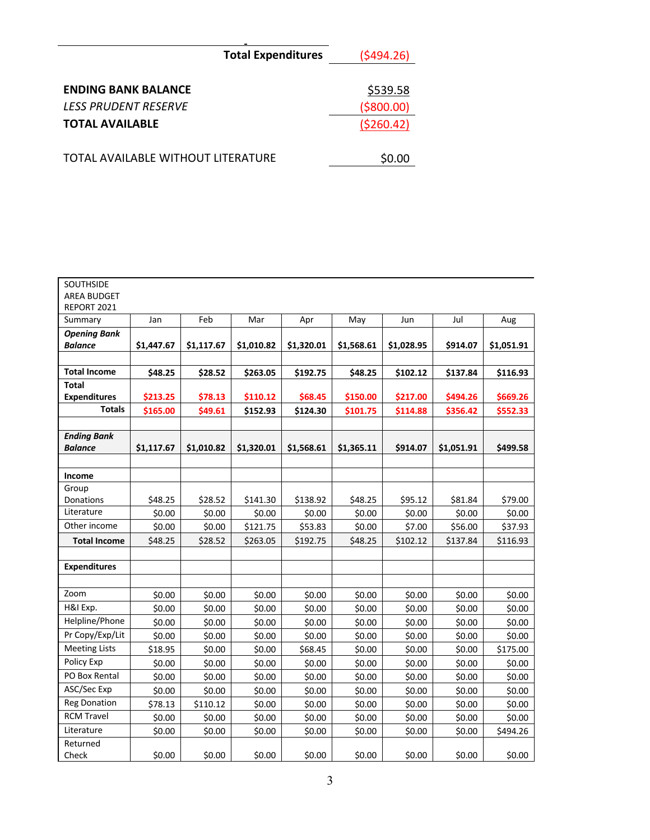|                                                           | <b>Total Expenditures</b> | (5494.26)               |
|-----------------------------------------------------------|---------------------------|-------------------------|
| <b>ENDING BANK BALANCE</b><br><b>LESS PRUDENT RESERVE</b> |                           | \$539.58<br>( \$800.00) |
| <b>TOTAL AVAILABLE</b>                                    |                           | ( \$260.42)             |
| TOTAL AVAILABLE WITHOUT LITERATURE                        |                           | \$0.00                  |

| <b>SOUTHSIDE</b><br><b>AREA BUDGET</b><br>REPORT 2021 |            |            |            |            |            |            |            |            |
|-------------------------------------------------------|------------|------------|------------|------------|------------|------------|------------|------------|
| Summary                                               | Jan        | Feb        | Mar        | Apr        | May        | Jun        | Jul        | Aug        |
| <b>Opening Bank</b><br><b>Balance</b>                 | \$1,447.67 | \$1,117.67 | \$1,010.82 | \$1,320.01 | \$1,568.61 | \$1,028.95 | \$914.07   | \$1,051.91 |
|                                                       |            |            |            |            |            |            |            |            |
| <b>Total Income</b>                                   | \$48.25    | \$28.52    | \$263.05   | \$192.75   | \$48.25    | \$102.12   | \$137.84   | \$116.93   |
| <b>Total</b>                                          |            |            |            |            |            |            |            |            |
| <b>Expenditures</b>                                   | \$213.25   | \$78.13    | \$110.12   | \$68.45    | \$150.00   | \$217.00   | \$494.26   | \$669.26   |
| <b>Totals</b>                                         | \$165.00   | \$49.61    | \$152.93   | \$124.30   | \$101.75   | \$114.88   | \$356.42   | \$552.33   |
| <b>Ending Bank</b>                                    |            |            |            |            |            |            |            |            |
| <b>Balance</b>                                        | \$1,117.67 | \$1,010.82 | \$1,320.01 | \$1,568.61 | \$1,365.11 | \$914.07   | \$1,051.91 | \$499.58   |
|                                                       |            |            |            |            |            |            |            |            |
| Income                                                |            |            |            |            |            |            |            |            |
| Group                                                 |            |            |            |            |            |            |            |            |
| Donations                                             | \$48.25    | \$28.52    | \$141.30   | \$138.92   | \$48.25    | \$95.12    | \$81.84    | \$79.00    |
| Literature                                            | \$0.00     | \$0.00     | \$0.00     | \$0.00     | \$0.00     | \$0.00     | \$0.00     | \$0.00     |
| Other income                                          | \$0.00     | \$0.00     | \$121.75   | \$53.83    | \$0.00     | \$7.00     | \$56.00    | \$37.93    |
| <b>Total Income</b>                                   | \$48.25    | \$28.52    | \$263.05   | \$192.75   | \$48.25    | \$102.12   | \$137.84   | \$116.93   |
|                                                       |            |            |            |            |            |            |            |            |
| <b>Expenditures</b>                                   |            |            |            |            |            |            |            |            |
|                                                       |            |            |            |            |            |            |            |            |
| Zoom                                                  | \$0.00     | \$0.00     | \$0.00     | \$0.00     | \$0.00     | \$0.00     | \$0.00     | \$0.00     |
| H&I Exp.                                              | \$0.00     | \$0.00     | \$0.00     | \$0.00     | \$0.00     | \$0.00     | \$0.00     | \$0.00     |
| Helpline/Phone                                        | \$0.00     | \$0.00     | \$0.00     | \$0.00     | \$0.00     | \$0.00     | \$0.00     | \$0.00     |
| Pr Copy/Exp/Lit                                       | \$0.00     | \$0.00     | \$0.00     | \$0.00     | \$0.00     | \$0.00     | \$0.00     | \$0.00     |
| <b>Meeting Lists</b>                                  | \$18.95    | \$0.00     | \$0.00     | \$68.45    | \$0.00     | \$0.00     | \$0.00     | \$175.00   |
| Policy Exp                                            | \$0.00     | \$0.00     | \$0.00     | \$0.00     | \$0.00     | \$0.00     | \$0.00     | \$0.00     |
| PO Box Rental                                         | \$0.00     | \$0.00     | \$0.00     | \$0.00     | \$0.00     | \$0.00     | \$0.00     | \$0.00     |
| ASC/Sec Exp                                           | \$0.00     | \$0.00     | \$0.00     | \$0.00     | \$0.00     | \$0.00     | \$0.00     | \$0.00     |
| <b>Reg Donation</b>                                   | \$78.13    | \$110.12   | \$0.00     | \$0.00     | \$0.00     | \$0.00     | \$0.00     | \$0.00     |
| <b>RCM Travel</b>                                     | \$0.00     | \$0.00     | \$0.00     | \$0.00     | \$0.00     | \$0.00     | \$0.00     | \$0.00     |
| Literature                                            | \$0.00     | \$0.00     | \$0.00     | \$0.00     | \$0.00     | \$0.00     | \$0.00     | \$494.26   |
| Returned<br>Check                                     | \$0.00     | \$0.00     | \$0.00     | \$0.00     | \$0.00     | \$0.00     | \$0.00     | \$0.00     |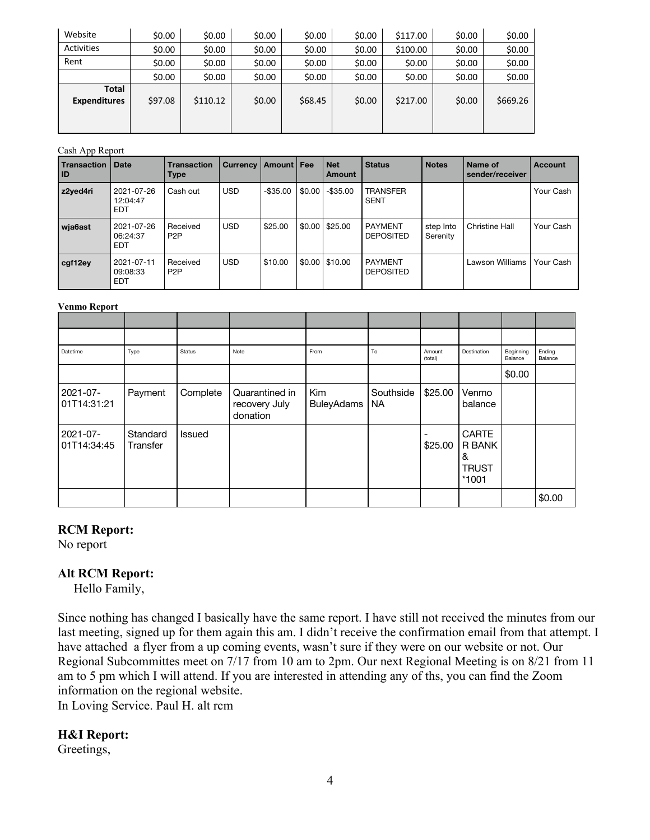| Website                             | \$0.00  | \$0.00   | \$0.00 | \$0.00  | \$0.00 | \$117.00 | \$0.00 | \$0.00   |
|-------------------------------------|---------|----------|--------|---------|--------|----------|--------|----------|
| <b>Activities</b>                   | \$0.00  | \$0.00   | \$0.00 | \$0.00  | \$0.00 | \$100.00 | \$0.00 | \$0.00   |
| Rent                                | \$0.00  | \$0.00   | \$0.00 | \$0.00  | \$0.00 | \$0.00   | \$0.00 | \$0.00   |
|                                     | \$0.00  | \$0.00   | \$0.00 | \$0.00  | \$0.00 | \$0.00   | \$0.00 | \$0.00   |
| <b>Total</b><br><b>Expenditures</b> | \$97.08 | \$110.12 | \$0.00 | \$68.45 | \$0.00 | \$217.00 | \$0.00 | \$669.26 |

#### Cash App Report

| . .<br><b>Transaction</b><br><b>ID</b> | <b>Date</b>                          | <b>Transaction</b><br><b>Type</b> | <b>Currency</b> | Amount   Fee |        | <b>Net</b><br>Amount | <b>Status</b>                      | <b>Notes</b>          | Name of<br>sender/receiver | <b>Account</b> |
|----------------------------------------|--------------------------------------|-----------------------------------|-----------------|--------------|--------|----------------------|------------------------------------|-----------------------|----------------------------|----------------|
| z2yed4ri                               | 2021-07-26<br>12:04:47<br><b>EDT</b> | Cash out                          | <b>USD</b>      | $-$ \$35.00  | \$0.00 | $-$ \$35.00          | <b>TRANSFER</b><br><b>SENT</b>     |                       |                            | Your Cash      |
| wja6ast                                | 2021-07-26<br>06:24:37<br><b>EDT</b> | Received<br>P <sub>2</sub> P      | <b>USD</b>      | \$25.00      | \$0.00 | \$25.00              | <b>PAYMENT</b><br><b>DEPOSITED</b> | step Into<br>Serenity | <b>Christine Hall</b>      | Your Cash      |
| cgf12ey                                | 2021-07-11<br>09:08:33<br><b>EDT</b> | Received<br>P <sub>2</sub> P      | <b>USD</b>      | \$10.00      | \$0.00 | \$10.00              | <b>PAYMENT</b><br><b>DEPOSITED</b> |                       | Lawson Williams            | Your Cash      |

#### **Venmo Report**

| ------- ---- p - - -    |                      |          |                                             |                          |                 |                   |                                                        |                      |                   |
|-------------------------|----------------------|----------|---------------------------------------------|--------------------------|-----------------|-------------------|--------------------------------------------------------|----------------------|-------------------|
|                         |                      |          |                                             |                          |                 |                   |                                                        |                      |                   |
| Datetime                | Type                 | Status   | Note                                        | From                     | To              | Amount<br>(total) | Destination                                            | Beginning<br>Balance | Ending<br>Balance |
|                         |                      |          |                                             |                          |                 |                   |                                                        | \$0.00               |                   |
| 2021-07-<br>01T14:31:21 | Payment              | Complete | Quarantined in<br>recovery July<br>donation | Kim<br><b>BuleyAdams</b> | Southside<br>NA | \$25.00           | Venmo<br>balance                                       |                      |                   |
| 2021-07-<br>01T14:34:45 | Standard<br>Transfer | Issued   |                                             |                          |                 | \$25.00           | <b>CARTE</b><br>R BANK<br>&<br><b>TRUST</b><br>$*1001$ |                      |                   |
|                         |                      |          |                                             |                          |                 |                   |                                                        |                      | \$0.00            |

#### **RCM Report:**

No report

### **Alt RCM Report:**

Hello Family,

Since nothing has changed I basically have the same report. I have still not received the minutes from our last meeting, signed up for them again this am. I didn't receive the confirmation email from that attempt. I have attached a flyer from a up coming events, wasn't sure if they were on our website or not. Our Regional Subcommittes meet on 7/17 from 10 am to 2pm. Our next Regional Meeting is on 8/21 from 11 am to 5 pm which I will attend. If you are interested in attending any of ths, you can find the Zoom information on the regional website.

In Loving Service. Paul H. alt rcm

### **H&I Report:**

Greetings,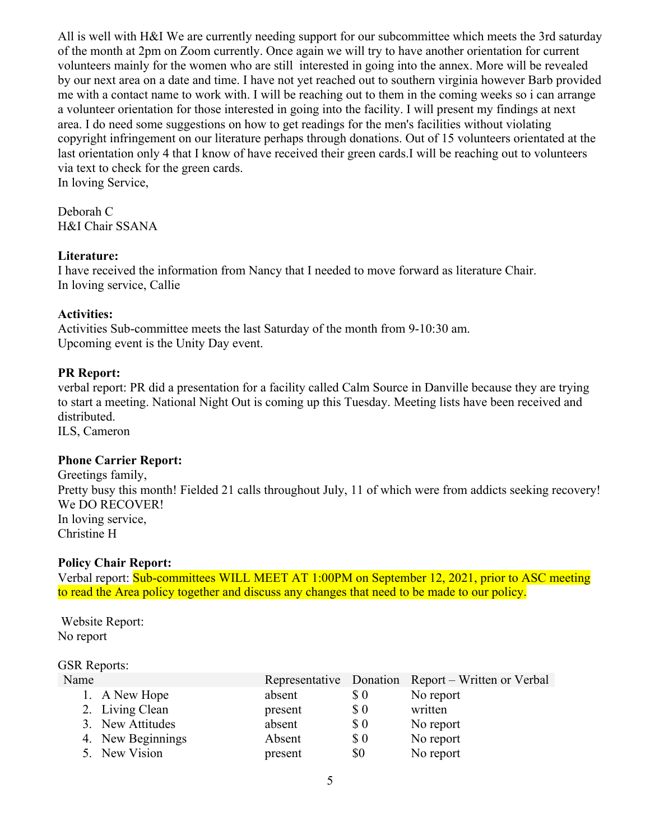All is well with H&I We are currently needing support for our subcommittee which meets the 3rd saturday of the month at 2pm on Zoom currently. Once again we will try to have another orientation for current volunteers mainly for the women who are still interested in going into the annex. More will be revealed by our next area on a date and time. I have not yet reached out to southern virginia however Barb provided me with a contact name to work with. I will be reaching out to them in the coming weeks so i can arrange a volunteer orientation for those interested in going into the facility. I will present my findings at next area. I do need some suggestions on how to get readings for the men's facilities without violating copyright infringement on our literature perhaps through donations. Out of 15 volunteers orientated at the last orientation only 4 that I know of have received their green cards.I will be reaching out to volunteers via text to check for the green cards. In loving Service,

Deborah C H&I Chair SSANA

### **Literature:**

I have received the information from Nancy that I needed to move forward as literature Chair. In loving service, Callie

## **Activities:**

Activities Sub-committee meets the last Saturday of the month from 9-10:30 am. Upcoming event is the Unity Day event.

## **PR Report:**

verbal report: PR did a presentation for a facility called Calm Source in Danville because they are trying to start a meeting. National Night Out is coming up this Tuesday. Meeting lists have been received and distributed.

ILS, Cameron

### **Phone Carrier Report:**

Greetings family, Pretty busy this month! Fielded 21 calls throughout July, 11 of which were from addicts seeking recovery! We DO RECOVER! In loving service, Christine H

### **Policy Chair Report:**

Verbal report: Sub-committees WILL MEET AT 1:00PM on September 12, 2021, prior to ASC meeting to read the Area policy together and discuss any changes that need to be made to our policy.

Website Report: No report

### GSR Reports:

| Name |                   |         |                                                    | Representative Donation Report – Written or Verbal |
|------|-------------------|---------|----------------------------------------------------|----------------------------------------------------|
|      | 1. A New Hope     | absent  | $\boldsymbol{\mathsf{S}}$ 0                        | No report                                          |
|      | 2. Living Clean   | present | $\boldsymbol{\mathsf{S}}\,\boldsymbol{\mathsf{0}}$ | written                                            |
|      | 3. New Attitudes  | absent  | $\boldsymbol{\mathsf{S}}$ 0                        | No report                                          |
|      | 4. New Beginnings | Absent  | $\boldsymbol{\mathsf{S}}\,\boldsymbol{\mathsf{0}}$ | No report                                          |
|      | 5. New Vision     | present | \$0                                                | No report                                          |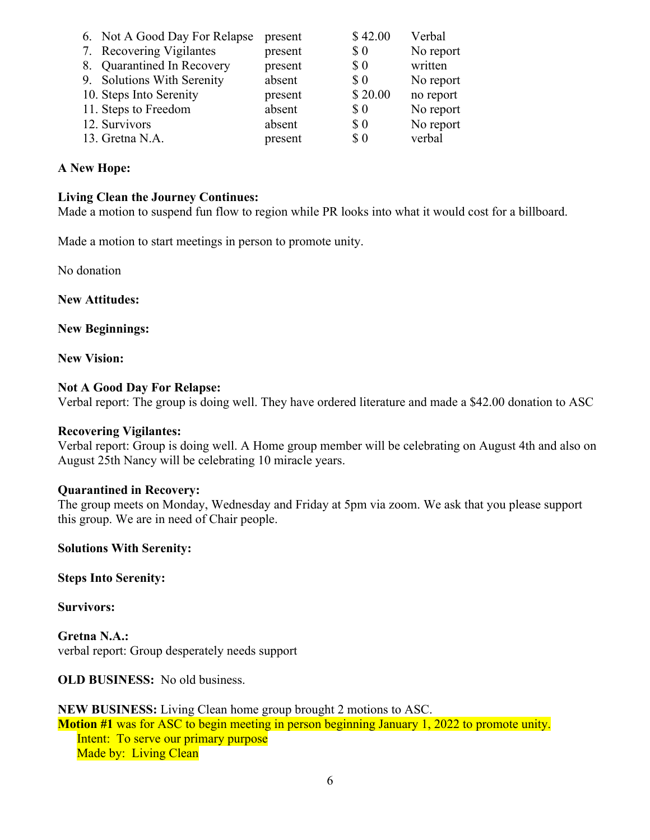| 6. Not A Good Day For Relapse | present | \$42.00                                            | Verbal    |
|-------------------------------|---------|----------------------------------------------------|-----------|
| 7. Recovering Vigilantes      | present | $\boldsymbol{\mathsf{S}}\,\boldsymbol{\mathsf{0}}$ | No report |
| 8. Quarantined In Recovery    | present | $\pmb{\mathcal{S}}$ 0                              | written   |
| 9. Solutions With Serenity    | absent  | <b>SO</b>                                          | No report |
| 10. Steps Into Serenity       | present | \$20.00                                            | no report |
| 11. Steps to Freedom          | absent  | \$0                                                | No report |
| 12. Survivors                 | absent  | $\pmb{\mathcal{S}}$ 0                              | No report |
| 13. Gretna N.A.               | present | $\boldsymbol{\mathsf{S}}$ 0                        | verbal    |

### **A New Hope:**

### **Living Clean the Journey Continues:**

Made a motion to suspend fun flow to region while PR looks into what it would cost for a billboard.

Made a motion to start meetings in person to promote unity.

No donation

**New Attitudes:**

**New Beginnings:**

**New Vision:**

#### **Not A Good Day For Relapse:**

Verbal report: The group is doing well. They have ordered literature and made a \$42.00 donation to ASC

#### **Recovering Vigilantes:**

Verbal report: Group is doing well. A Home group member will be celebrating on August 4th and also on August 25th Nancy will be celebrating 10 miracle years.

#### **Quarantined in Recovery:**

The group meets on Monday, Wednesday and Friday at 5pm via zoom. We ask that you please support this group. We are in need of Chair people.

**Solutions With Serenity:**

**Steps Into Serenity:**

**Survivors:**

**Gretna N.A.:**  verbal report: Group desperately needs support

**OLD BUSINESS:** No old business.

**NEW BUSINESS:** Living Clean home group brought 2 motions to ASC.

**Motion #1** was for ASC to begin meeting in person beginning January 1, 2022 to promote unity. Intent: To serve our primary purpose Made by: Living Clean